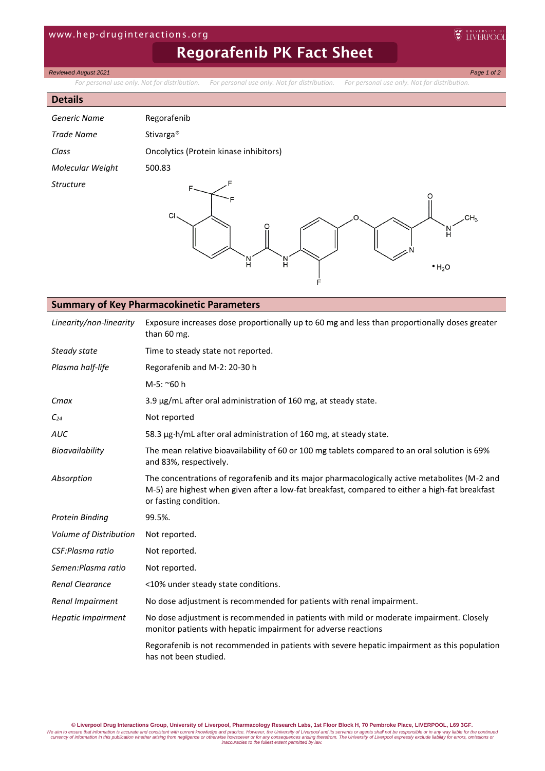## www.hep-druginteractions.org

# Regorafenib PK Fact Sheet

## *Reviewed August 2021 Page 1 of 2*

*For personal use only. Not for distribution. For personal use only. Not for distribution. For personal use only. Not for distribution.*

#### **Details**

| Generic Name     | Regorafenib                            |
|------------------|----------------------------------------|
| Trade Name       | Stivarga <sup>®</sup>                  |
| Class            | Oncolytics (Protein kinase inhibitors) |
| Molecular Weight | 500.83                                 |
| Structure        |                                        |



EV UNIVERSITY O

## **Summary of Key Pharmacokinetic Parameters**

| Linearity/non-linearity   | Exposure increases dose proportionally up to 60 mg and less than proportionally doses greater<br>than 60 mg.                                                                                                             |
|---------------------------|--------------------------------------------------------------------------------------------------------------------------------------------------------------------------------------------------------------------------|
| Steady state              | Time to steady state not reported.                                                                                                                                                                                       |
| Plasma half-life          | Regorafenib and M-2: 20-30 h                                                                                                                                                                                             |
|                           | M-5: ~60 h                                                                                                                                                                                                               |
| Cmax                      | 3.9 µg/mL after oral administration of 160 mg, at steady state.                                                                                                                                                          |
| $C_{24}$                  | Not reported                                                                                                                                                                                                             |
| AUC                       | 58.3 µg·h/mL after oral administration of 160 mg, at steady state.                                                                                                                                                       |
| Bioavailability           | The mean relative bioavailability of 60 or 100 mg tablets compared to an oral solution is 69%<br>and 83%, respectively.                                                                                                  |
| Absorption                | The concentrations of regorafenib and its major pharmacologically active metabolites (M-2 and<br>M-5) are highest when given after a low-fat breakfast, compared to either a high-fat breakfast<br>or fasting condition. |
| <b>Protein Binding</b>    | 99.5%.                                                                                                                                                                                                                   |
| Volume of Distribution    | Not reported.                                                                                                                                                                                                            |
| CSF:Plasma ratio          | Not reported.                                                                                                                                                                                                            |
| Semen:Plasma ratio        | Not reported.                                                                                                                                                                                                            |
| <b>Renal Clearance</b>    | <10% under steady state conditions.                                                                                                                                                                                      |
| Renal Impairment          | No dose adjustment is recommended for patients with renal impairment.                                                                                                                                                    |
| <b>Hepatic Impairment</b> | No dose adjustment is recommended in patients with mild or moderate impairment. Closely<br>monitor patients with hepatic impairment for adverse reactions                                                                |
|                           | Regorafenib is not recommended in patients with severe hepatic impairment as this population<br>has not been studied.                                                                                                    |